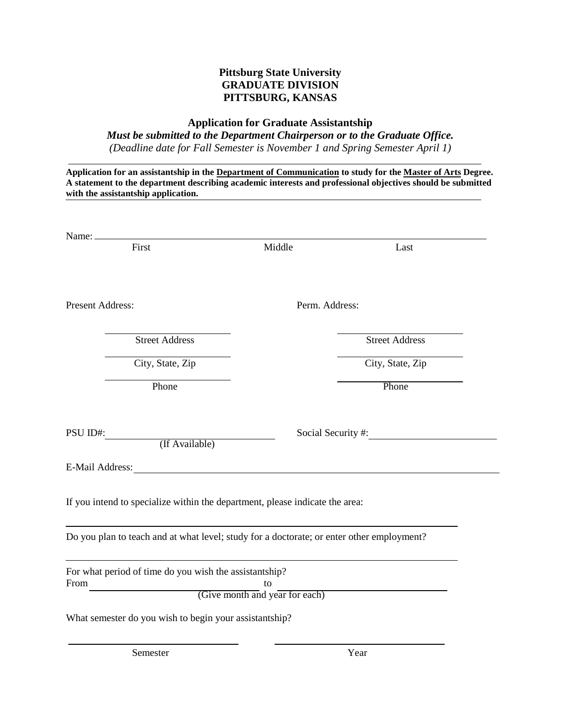## **Pittsburg State University GRADUATE DIVISION PITTSBURG, KANSAS**

## **Application for Graduate Assistantship**

*Must be submitted to the Department Chairperson or to the Graduate Office. (Deadline date for Fall Semester is November 1 and Spring Semester April 1)*

| Application for an assistantship in the Department of Communication to study for the Master of Arts Degree.<br>A statement to the department describing academic interests and professional objectives should be submitted     |                                      |                       |
|--------------------------------------------------------------------------------------------------------------------------------------------------------------------------------------------------------------------------------|--------------------------------------|-----------------------|
| with the assistantship application.                                                                                                                                                                                            |                                      |                       |
| Name:                                                                                                                                                                                                                          |                                      |                       |
| First                                                                                                                                                                                                                          | Middle                               | Last                  |
| <b>Present Address:</b>                                                                                                                                                                                                        |                                      | Perm. Address:        |
| <b>Street Address</b>                                                                                                                                                                                                          |                                      | <b>Street Address</b> |
| City, State, Zip                                                                                                                                                                                                               |                                      | City, State, Zip      |
| Phone                                                                                                                                                                                                                          |                                      | Phone                 |
| PSU ID#:<br>(If Available)                                                                                                                                                                                                     |                                      | Social Security #:    |
| E-Mail Address: The Second Second Second Second Second Second Second Second Second Second Second Second Second Second Second Second Second Second Second Second Second Second Second Second Second Second Second Second Second |                                      |                       |
| If you intend to specialize within the department, please indicate the area:                                                                                                                                                   |                                      |                       |
| Do you plan to teach and at what level; study for a doctorate; or enter other employment?                                                                                                                                      |                                      |                       |
| For what period of time do you wish the assistantship?<br>From                                                                                                                                                                 | to<br>(Give month and year for each) |                       |
| What semester do you wish to begin your assistantship?                                                                                                                                                                         |                                      |                       |

Semester Year Year